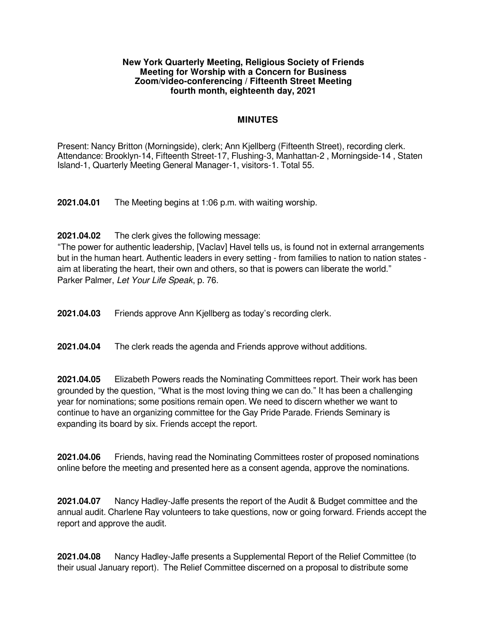#### **New York Quarterly Meeting, Religious Society of Friends Meeting for Worship with a Concern for Business Zoom/video-conferencing / Fifteenth Street Meeting fourth month, eighteenth day, 2021**

## **MINUTES**

Present: Nancy Britton (Morningside), clerk; Ann Kjellberg (Fifteenth Street), recording clerk. Attendance: Brooklyn-14, Fifteenth Street-17, Flushing-3, Manhattan-2 , Morningside-14 , Staten Island-1, Quarterly Meeting General Manager-1, visitors-1. Total 55.

**2021.04.01** The Meeting begins at 1:06 p.m. with waiting worship.

**2021.04.02** The clerk gives the following message:

"The power for authentic leadership, [Vaclav] Havel tells us, is found not in external arrangements but in the human heart. Authentic leaders in every setting - from families to nation to nation states aim at liberating the heart, their own and others, so that is powers can liberate the world." Parker Palmer, Let Your Life Speak, p. 76.

**2021.04.03** Friends approve Ann Kjellberg as today's recording clerk.

**2021.04.04** The clerk reads the agenda and Friends approve without additions.

**2021.04.05** Elizabeth Powers reads the Nominating Committees report. Their work has been grounded by the question, "What is the most loving thing we can do." It has been a challenging year for nominations; some positions remain open. We need to discern whether we want to continue to have an organizing committee for the Gay Pride Parade. Friends Seminary is expanding its board by six. Friends accept the report.

**2021.04.06** Friends, having read the Nominating Committees roster of proposed nominations online before the meeting and presented here as a consent agenda, approve the nominations.

**2021.04.07** Nancy Hadley-Jaffe presents the report of the Audit & Budget committee and the annual audit. Charlene Ray volunteers to take questions, now or going forward. Friends accept the report and approve the audit.

**2021.04.08** Nancy Hadley-Jaffe presents a Supplemental Report of the Relief Committee (to their usual January report). The Relief Committee discerned on a proposal to distribute some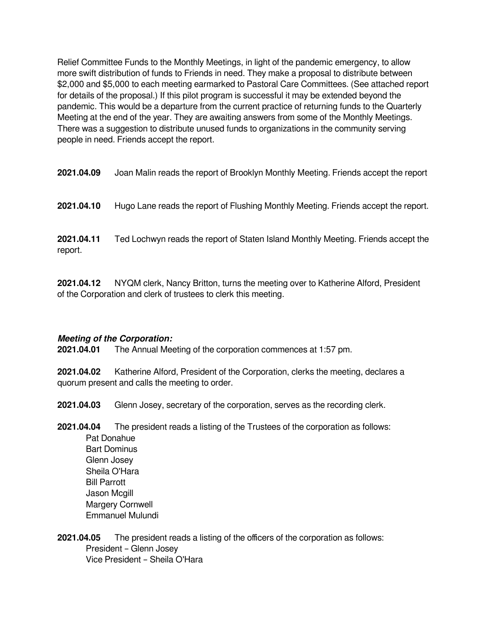Relief Committee Funds to the Monthly Meetings, in light of the pandemic emergency, to allow more swift distribution of funds to Friends in need. They make a proposal to distribute between \$2,000 and \$5,000 to each meeting earmarked to Pastoral Care Committees. (See attached report for details of the proposal.) If this pilot program is successful it may be extended beyond the pandemic. This would be a departure from the current practice of returning funds to the Quarterly Meeting at the end of the year. They are awaiting answers from some of the Monthly Meetings. There was a suggestion to distribute unused funds to organizations in the community serving people in need. Friends accept the report.

**2021.04.10** Hugo Lane reads the report of Flushing Monthly Meeting. Friends accept the report.

**2021.04.11** Ted Lochwyn reads the report of Staten Island Monthly Meeting. Friends accept the report.

**2021.04.12** NYQM clerk, Nancy Britton, turns the meeting over to Katherine Alford, President of the Corporation and clerk of trustees to clerk this meeting.

## **Meeting of the Corporation:**

**2021.04.01** The Annual Meeting of the corporation commences at 1:57 pm.

**2021.04.02** Katherine Alford, President of the Corporation, clerks the meeting, declares a quorum present and calls the meeting to order.

**2021.04.03** Glenn Josey, secretary of the corporation, serves as the recording clerk.

**2021.04.04** The president reads a listing of the Trustees of the corporation as follows: Pat Donahue Bart Dominus Glenn Josey Sheila O'Hara Bill Parrott Jason Mcgill Margery Cornwell Emmanuel Mulundi

**2021.04.05** The president reads a listing of the officers of the corporation as follows: President – Glenn Josey Vice President – Sheila O'Hara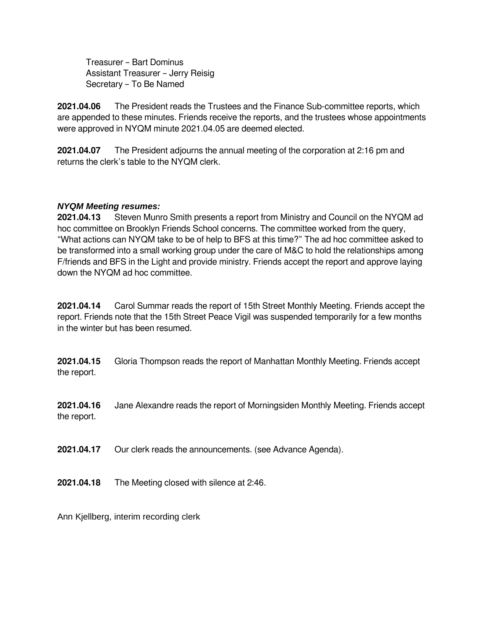Treasurer – Bart Dominus Assistant Treasurer – Jerry Reisig Secretary – To Be Named

**2021.04.06** The President reads the Trustees and the Finance Sub-committee reports, which are appended to these minutes. Friends receive the reports, and the trustees whose appointments were approved in NYQM minute 2021.04.05 are deemed elected.

**2021.04.07** The President adjourns the annual meeting of the corporation at 2:16 pm and returns the clerk's table to the NYQM clerk.

# *NYQM Meeting resumes:*

**2021.04.13** Steven Munro Smith presents a report from Ministry and Council on the NYQM ad hoc committee on Brooklyn Friends School concerns. The committee worked from the query, "What actions can NYQM take to be of help to BFS at this time?" The ad hoc committee asked to be transformed into a small working group under the care of M&C to hold the relationships among F/friends and BFS in the Light and provide ministry. Friends accept the report and approve laying down the NYQM ad hoc committee.

**2021.04.14** Carol Summar reads the report of 15th Street Monthly Meeting. Friends accept the report. Friends note that the 15th Street Peace Vigil was suspended temporarily for a few months in the winter but has been resumed.

**2021.04.15** Gloria Thompson reads the report of Manhattan Monthly Meeting. Friends accept the report.

**2021.04.16** Jane Alexandre reads the report of Morningsiden Monthly Meeting. Friends accept the report.

**2021.04.17** Our clerk reads the announcements. (see Advance Agenda).

**2021.04.18** The Meeting closed with silence at 2:46.

Ann Kjellberg, interim recording clerk